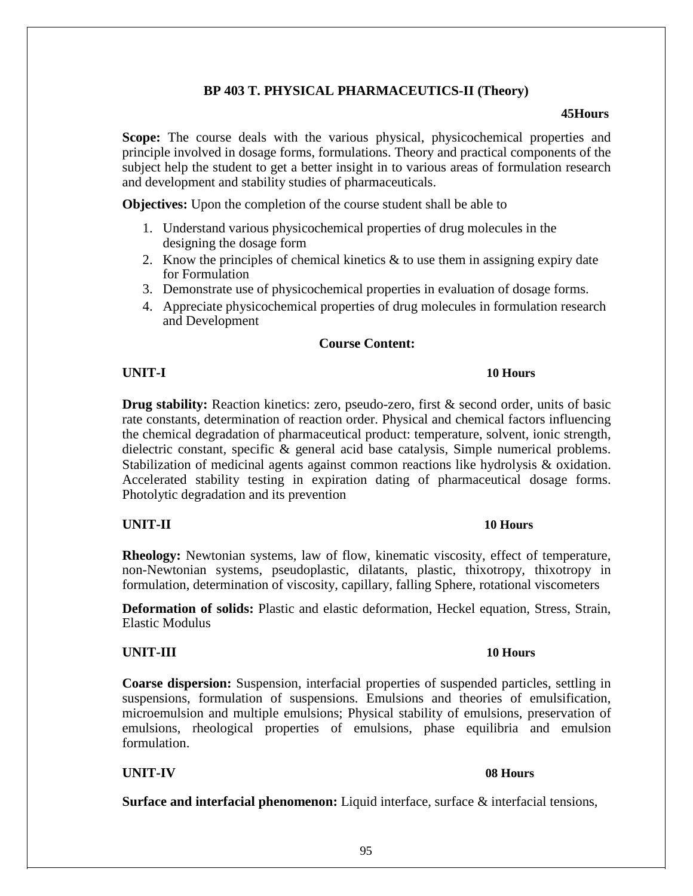# **Surface and interfacial phenomenon:** Liquid interface, surface & interfacial tensions,

# 95

# **BP 403 T. PHYSICAL PHARMACEUTICS-II (Theory)**

### **45Hours**

**Scope:** The course deals with the various physical, physicochemical properties and principle involved in dosage forms, formulations. Theory and practical components of the subject help the student to get a better insight in to various areas of formulation research and development and stability studies of pharmaceuticals.

**Objectives:** Upon the completion of the course student shall be able to

- 1. Understand various physicochemical properties of drug molecules in the designing the dosage form
- 2. Know the principles of chemical kinetics  $\&$  to use them in assigning expiry date for Formulation
- 3. Demonstrate use of physicochemical properties in evaluation of dosage forms.
- 4. Appreciate physicochemical properties of drug molecules in formulation research and Development

# **Course Content:**

# **UNIT-I 10 Hours**

**Drug stability:** Reaction kinetics: zero, pseudo-zero, first & second order, units of basic rate constants, determination of reaction order. Physical and chemical factors influencing the chemical degradation of pharmaceutical product: temperature, solvent, ionic strength, dielectric constant, specific & general acid base catalysis, Simple numerical problems. Stabilization of medicinal agents against common reactions like hydrolysis & oxidation. Accelerated stability testing in expiration dating of pharmaceutical dosage forms. Photolytic degradation and its prevention

# **UNIT-II 10 Hours**

**Rheology:** Newtonian systems, law of flow, kinematic viscosity, effect of temperature, non-Newtonian systems, pseudoplastic, dilatants, plastic, thixotropy, thixotropy in formulation, determination of viscosity, capillary, falling Sphere, rotational viscometers

**Deformation of solids:** Plastic and elastic deformation, Heckel equation, Stress, Strain, Elastic Modulus

# **UNIT-III 10 Hours**

**Coarse dispersion:** Suspension, interfacial properties of suspended particles, settling in suspensions, formulation of suspensions. Emulsions and theories of emulsification, microemulsion and multiple emulsions; Physical stability of emulsions, preservation of emulsions, rheological properties of emulsions, phase equilibria and emulsion formulation.

# **UNIT-IV 08 Hours**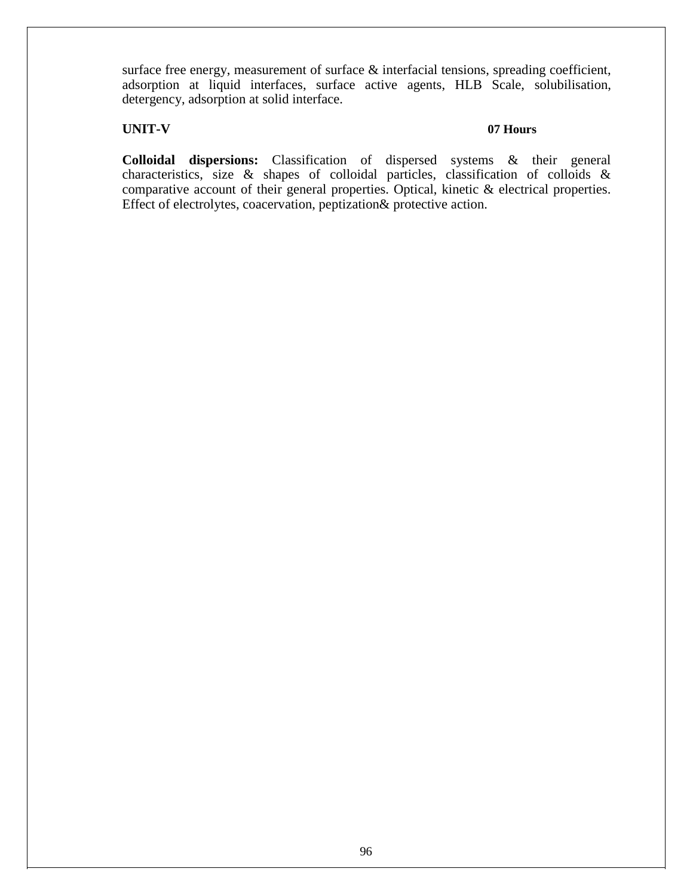surface free energy, measurement of surface & interfacial tensions, spreading coefficient, adsorption at liquid interfaces, surface active agents, HLB Scale, solubilisation, detergency, adsorption at solid interface.

### **UNIT-V 07 Hours**

**Colloidal dispersions:** Classification of dispersed systems & their general characteristics, size & shapes of colloidal particles, classification of colloids & comparative account of their general properties. Optical, kinetic & electrical properties. Effect of electrolytes, coacervation, peptization& protective action.